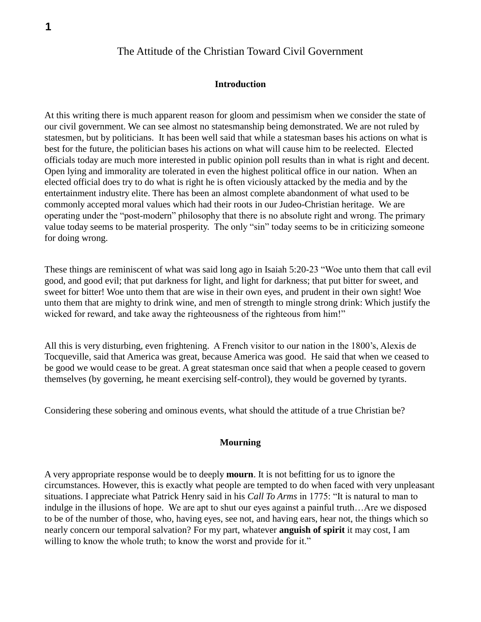# The Attitude of the Christian Toward Civil Government

#### **Introduction**

At this writing there is much apparent reason for gloom and pessimism when we consider the state of our civil government. We can see almost no statesmanship being demonstrated. We are not ruled by statesmen, but by politicians. It has been well said that while a statesman bases his actions on what is best for the future, the politician bases his actions on what will cause him to be reelected. Elected officials today are much more interested in public opinion poll results than in what is right and decent. Open lying and immorality are tolerated in even the highest political office in our nation. When an elected official does try to do what is right he is often viciously attacked by the media and by the entertainment industry elite. There has been an almost complete abandonment of what used to be commonly accepted moral values which had their roots in our Judeo-Christian heritage. We are operating under the "post-modern" philosophy that there is no absolute right and wrong. The primary value today seems to be material prosperity. The only "sin" today seems to be in criticizing someone for doing wrong.

These things are reminiscent of what was said long ago in Isaiah 5:20-23 "Woe unto them that call evil good, and good evil; that put darkness for light, and light for darkness; that put bitter for sweet, and sweet for bitter! Woe unto them that are wise in their own eyes, and prudent in their own sight! Woe unto them that are mighty to drink wine, and men of strength to mingle strong drink: Which justify the wicked for reward, and take away the righteousness of the righteous from him!"

All this is very disturbing, even frightening. A French visitor to our nation in the 1800's, Alexis de Tocqueville, said that America was great, because America was good. He said that when we ceased to be good we would cease to be great. A great statesman once said that when a people ceased to govern themselves (by governing, he meant exercising self-control), they would be governed by tyrants.

Considering these sobering and ominous events, what should the attitude of a true Christian be?

### **Mourning**

A very appropriate response would be to deeply **mourn**. It is not befitting for us to ignore the circumstances. However, this is exactly what people are tempted to do when faced with very unpleasant situations. I appreciate what Patrick Henry said in his *Call To Arms* in 1775: "It is natural to man to indulge in the illusions of hope. We are apt to shut our eyes against a painful truth…Are we disposed to be of the number of those, who, having eyes, see not, and having ears, hear not, the things which so nearly concern our temporal salvation? For my part, whatever **anguish of spirit** it may cost, I am willing to know the whole truth; to know the worst and provide for it."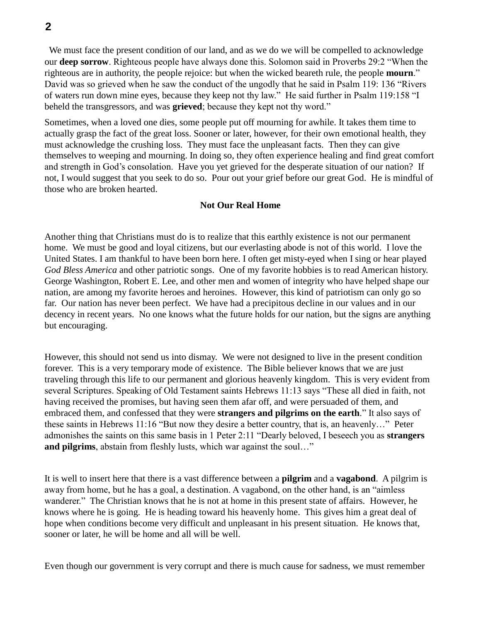We must face the present condition of our land, and as we do we will be compelled to acknowledge our **deep sorrow**. Righteous people have always done this. Solomon said in Proverbs 29:2 "When the righteous are in authority, the people rejoice: but when the wicked beareth rule, the people **mourn**." David was so grieved when he saw the conduct of the ungodly that he said in Psalm 119: 136 "Rivers of waters run down mine eyes, because they keep not thy law." He said further in Psalm 119:158 "I beheld the transgressors, and was **grieved**; because they kept not thy word."

Sometimes, when a loved one dies, some people put off mourning for awhile. It takes them time to actually grasp the fact of the great loss. Sooner or later, however, for their own emotional health, they must acknowledge the crushing loss. They must face the unpleasant facts. Then they can give themselves to weeping and mourning. In doing so, they often experience healing and find great comfort and strength in God's consolation. Have you yet grieved for the desperate situation of our nation? If not, I would suggest that you seek to do so. Pour out your grief before our great God. He is mindful of those who are broken hearted.

#### **Not Our Real Home**

Another thing that Christians must do is to realize that this earthly existence is not our permanent home. We must be good and loyal citizens, but our everlasting abode is not of this world. I love the United States. I am thankful to have been born here. I often get misty-eyed when I sing or hear played *God Bless America* and other patriotic songs. One of my favorite hobbies is to read American history. George Washington, Robert E. Lee, and other men and women of integrity who have helped shape our nation, are among my favorite heroes and heroines. However, this kind of patriotism can only go so far. Our nation has never been perfect. We have had a precipitous decline in our values and in our decency in recent years. No one knows what the future holds for our nation, but the signs are anything but encouraging.

However, this should not send us into dismay. We were not designed to live in the present condition forever. This is a very temporary mode of existence. The Bible believer knows that we are just traveling through this life to our permanent and glorious heavenly kingdom. This is very evident from several Scriptures. Speaking of Old Testament saints Hebrews 11:13 says "These all died in faith, not having received the promises, but having seen them afar off, and were persuaded of them, and embraced them, and confessed that they were **strangers and pilgrims on the earth**." It also says of these saints in Hebrews 11:16 "But now they desire a better country, that is, an heavenly…" Peter admonishes the saints on this same basis in 1 Peter 2:11 "Dearly beloved, I beseech you as **strangers and pilgrims**, abstain from fleshly lusts, which war against the soul…"

It is well to insert here that there is a vast difference between a **pilgrim** and a **vagabond**. A pilgrim is away from home, but he has a goal, a destination. A vagabond, on the other hand, is an "aimless wanderer." The Christian knows that he is not at home in this present state of affairs. However, he knows where he is going. He is heading toward his heavenly home. This gives him a great deal of hope when conditions become very difficult and unpleasant in his present situation. He knows that, sooner or later, he will be home and all will be well.

Even though our government is very corrupt and there is much cause for sadness, we must remember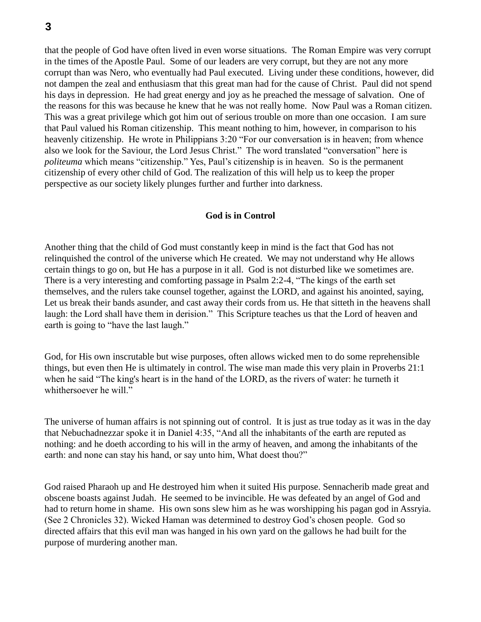that the people of God have often lived in even worse situations. The Roman Empire was very corrupt in the times of the Apostle Paul. Some of our leaders are very corrupt, but they are not any more corrupt than was Nero, who eventually had Paul executed. Living under these conditions, however, did not dampen the zeal and enthusiasm that this great man had for the cause of Christ. Paul did not spend his days in depression. He had great energy and joy as he preached the message of salvation. One of the reasons for this was because he knew that he was not really home. Now Paul was a Roman citizen. This was a great privilege which got him out of serious trouble on more than one occasion. I am sure that Paul valued his Roman citizenship. This meant nothing to him, however, in comparison to his heavenly citizenship. He wrote in Philippians 3:20 "For our conversation is in heaven; from whence also we look for the Saviour, the Lord Jesus Christ." The word translated "conversation" here is *politeuma* which means "citizenship." Yes, Paul's citizenship is in heaven. So is the permanent citizenship of every other child of God. The realization of this will help us to keep the proper perspective as our society likely plunges further and further into darkness.

# **God is in Control**

Another thing that the child of God must constantly keep in mind is the fact that God has not relinquished the control of the universe which He created. We may not understand why He allows certain things to go on, but He has a purpose in it all. God is not disturbed like we sometimes are. There is a very interesting and comforting passage in Psalm 2:2-4, "The kings of the earth set themselves, and the rulers take counsel together, against the LORD, and against his anointed, saying, Let us break their bands asunder, and cast away their cords from us. He that sitteth in the heavens shall laugh: the Lord shall have them in derision." This Scripture teaches us that the Lord of heaven and earth is going to "have the last laugh."

God, for His own inscrutable but wise purposes, often allows wicked men to do some reprehensible things, but even then He is ultimately in control. The wise man made this very plain in Proverbs 21:1 when he said "The king's heart is in the hand of the LORD, as the rivers of water: he turneth it whithersoever he will."

The universe of human affairs is not spinning out of control. It is just as true today as it was in the day that Nebuchadnezzar spoke it in Daniel 4:35, "And all the inhabitants of the earth are reputed as nothing: and he doeth according to his will in the army of heaven, and among the inhabitants of the earth: and none can stay his hand, or say unto him, What doest thou?"

God raised Pharaoh up and He destroyed him when it suited His purpose. Sennacherib made great and obscene boasts against Judah. He seemed to be invincible. He was defeated by an angel of God and had to return home in shame. His own sons slew him as he was worshipping his pagan god in Assryia. (See 2 Chronicles 32). Wicked Haman was determined to destroy God's chosen people. God so directed affairs that this evil man was hanged in his own yard on the gallows he had built for the purpose of murdering another man.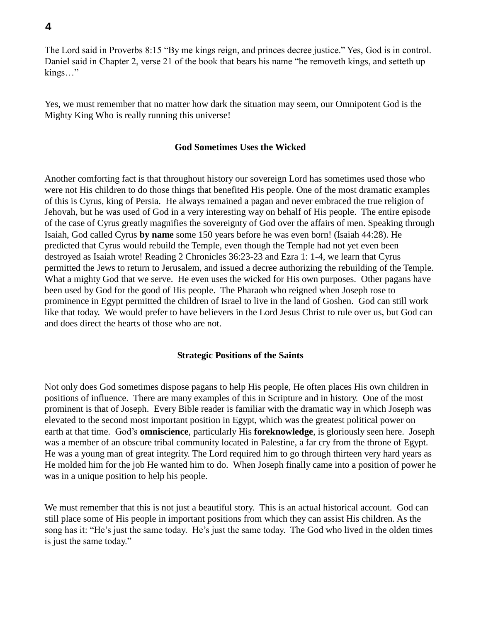The Lord said in Proverbs 8:15 "By me kings reign, and princes decree justice." Yes, God is in control. Daniel said in Chapter 2, verse 21 of the book that bears his name "he removeth kings, and setteth up kings…"

Yes, we must remember that no matter how dark the situation may seem, our Omnipotent God is the Mighty King Who is really running this universe!

### **God Sometimes Uses the Wicked**

Another comforting fact is that throughout history our sovereign Lord has sometimes used those who were not His children to do those things that benefited His people. One of the most dramatic examples of this is Cyrus, king of Persia. He always remained a pagan and never embraced the true religion of Jehovah, but he was used of God in a very interesting way on behalf of His people. The entire episode of the case of Cyrus greatly magnifies the sovereignty of God over the affairs of men. Speaking through Isaiah, God called Cyrus **by name** some 150 years before he was even born! (Isaiah 44:28). He predicted that Cyrus would rebuild the Temple, even though the Temple had not yet even been destroyed as Isaiah wrote! Reading 2 Chronicles 36:23-23 and Ezra 1: 1-4, we learn that Cyrus permitted the Jews to return to Jerusalem, and issued a decree authorizing the rebuilding of the Temple. What a mighty God that we serve. He even uses the wicked for His own purposes. Other pagans have been used by God for the good of His people. The Pharaoh who reigned when Joseph rose to prominence in Egypt permitted the children of Israel to live in the land of Goshen. God can still work like that today. We would prefer to have believers in the Lord Jesus Christ to rule over us, but God can and does direct the hearts of those who are not.

# **Strategic Positions of the Saints**

Not only does God sometimes dispose pagans to help His people, He often places His own children in positions of influence. There are many examples of this in Scripture and in history. One of the most prominent is that of Joseph. Every Bible reader is familiar with the dramatic way in which Joseph was elevated to the second most important position in Egypt, which was the greatest political power on earth at that time. God's **omniscience**, particularly His **foreknowledge**, is gloriously seen here. Joseph was a member of an obscure tribal community located in Palestine, a far cry from the throne of Egypt. He was a young man of great integrity. The Lord required him to go through thirteen very hard years as He molded him for the job He wanted him to do. When Joseph finally came into a position of power he was in a unique position to help his people.

We must remember that this is not just a beautiful story. This is an actual historical account. God can still place some of His people in important positions from which they can assist His children. As the song has it: "He's just the same today. He's just the same today. The God who lived in the olden times is just the same today."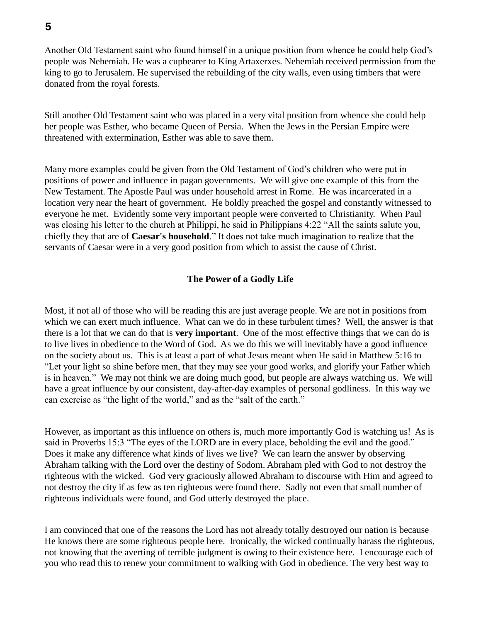Another Old Testament saint who found himself in a unique position from whence he could help God's people was Nehemiah. He was a cupbearer to King Artaxerxes. Nehemiah received permission from the king to go to Jerusalem. He supervised the rebuilding of the city walls, even using timbers that were donated from the royal forests.

Still another Old Testament saint who was placed in a very vital position from whence she could help her people was Esther, who became Queen of Persia. When the Jews in the Persian Empire were threatened with extermination, Esther was able to save them.

Many more examples could be given from the Old Testament of God's children who were put in positions of power and influence in pagan governments. We will give one example of this from the New Testament. The Apostle Paul was under household arrest in Rome. He was incarcerated in a location very near the heart of government. He boldly preached the gospel and constantly witnessed to everyone he met. Evidently some very important people were converted to Christianity. When Paul was closing his letter to the church at Philippi, he said in Philippians 4:22 "All the saints salute you, chiefly they that are of **Caesar's household**." It does not take much imagination to realize that the servants of Caesar were in a very good position from which to assist the cause of Christ.

# **The Power of a Godly Life**

Most, if not all of those who will be reading this are just average people. We are not in positions from which we can exert much influence. What can we do in these turbulent times? Well, the answer is that there is a lot that we can do that is **very important**. One of the most effective things that we can do is to live lives in obedience to the Word of God. As we do this we will inevitably have a good influence on the society about us. This is at least a part of what Jesus meant when He said in Matthew 5:16 to "Let your light so shine before men, that they may see your good works, and glorify your Father which is in heaven." We may not think we are doing much good, but people are always watching us. We will have a great influence by our consistent, day-after-day examples of personal godliness. In this way we can exercise as "the light of the world," and as the "salt of the earth."

However, as important as this influence on others is, much more importantly God is watching us! As is said in Proverbs 15:3 "The eyes of the LORD are in every place, beholding the evil and the good." Does it make any difference what kinds of lives we live? We can learn the answer by observing Abraham talking with the Lord over the destiny of Sodom. Abraham pled with God to not destroy the righteous with the wicked. God very graciously allowed Abraham to discourse with Him and agreed to not destroy the city if as few as ten righteous were found there. Sadly not even that small number of righteous individuals were found, and God utterly destroyed the place.

I am convinced that one of the reasons the Lord has not already totally destroyed our nation is because He knows there are some righteous people here. Ironically, the wicked continually harass the righteous, not knowing that the averting of terrible judgment is owing to their existence here. I encourage each of you who read this to renew your commitment to walking with God in obedience. The very best way to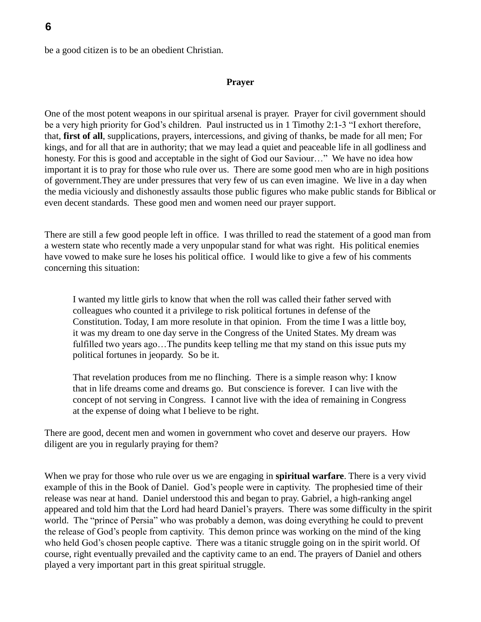be a good citizen is to be an obedient Christian.

### **Prayer**

One of the most potent weapons in our spiritual arsenal is prayer. Prayer for civil government should be a very high priority for God's children. Paul instructed us in 1 Timothy 2:1-3 "I exhort therefore, that, **first of all**, supplications, prayers, intercessions, and giving of thanks, be made for all men; For kings, and for all that are in authority; that we may lead a quiet and peaceable life in all godliness and honesty. For this is good and acceptable in the sight of God our Saviour..." We have no idea how important it is to pray for those who rule over us. There are some good men who are in high positions of government.They are under pressures that very few of us can even imagine. We live in a day when the media viciously and dishonestly assaults those public figures who make public stands for Biblical or even decent standards. These good men and women need our prayer support.

There are still a few good people left in office. I was thrilled to read the statement of a good man from a western state who recently made a very unpopular stand for what was right. His political enemies have vowed to make sure he loses his political office. I would like to give a few of his comments concerning this situation:

I wanted my little girls to know that when the roll was called their father served with colleagues who counted it a privilege to risk political fortunes in defense of the Constitution. Today, I am more resolute in that opinion. From the time I was a little boy, it was my dream to one day serve in the Congress of the United States. My dream was fulfilled two years ago…The pundits keep telling me that my stand on this issue puts my political fortunes in jeopardy. So be it.

That revelation produces from me no flinching. There is a simple reason why: I know that in life dreams come and dreams go. But conscience is forever. I can live with the concept of not serving in Congress. I cannot live with the idea of remaining in Congress at the expense of doing what I believe to be right.

There are good, decent men and women in government who covet and deserve our prayers. How diligent are you in regularly praying for them?

When we pray for those who rule over us we are engaging in **spiritual warfare**. There is a very vivid example of this in the Book of Daniel. God's people were in captivity. The prophesied time of their release was near at hand. Daniel understood this and began to pray. Gabriel, a high-ranking angel appeared and told him that the Lord had heard Daniel's prayers. There was some difficulty in the spirit world. The "prince of Persia" who was probably a demon, was doing everything he could to prevent the release of God's people from captivity. This demon prince was working on the mind of the king who held God's chosen people captive. There was a titanic struggle going on in the spirit world. Of course, right eventually prevailed and the captivity came to an end. The prayers of Daniel and others played a very important part in this great spiritual struggle.